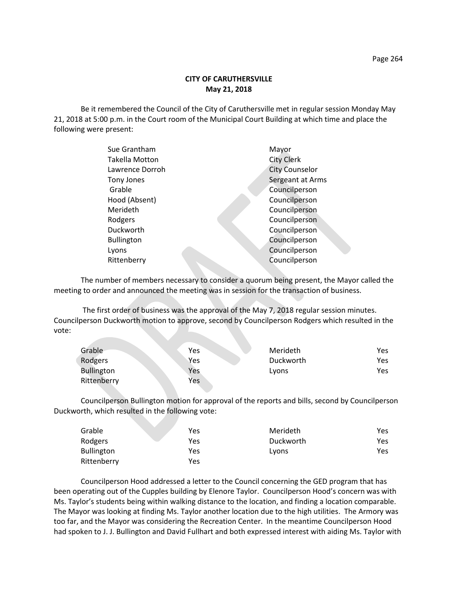Be it remembered the Council of the City of Caruthersville met in regular session Monday May 21, 2018 at 5:00 p.m. in the Court room of the Municipal Court Building at which time and place the following were present:

| Sue Grantham          | Mayor                 |
|-----------------------|-----------------------|
| <b>Takella Motton</b> | <b>City Clerk</b>     |
| Lawrence Dorroh       | <b>City Counselor</b> |
| Tony Jones            | Sergeant at Arms      |
| Grable                | Councilperson         |
| Hood (Absent)         | Councilperson         |
| Merideth              | Councilperson         |
| Rodgers               | Councilperson         |
| Duckworth             | Councilperson         |
| <b>Bullington</b>     | Councilperson         |
| Lyons                 | Councilperson         |
| Rittenberry           | Councilperson         |
|                       |                       |

The number of members necessary to consider a quorum being present, the Mayor called the meeting to order and announced the meeting was in session for the transaction of business.

The first order of business was the approval of the May 7, 2018 regular session minutes. Councilperson Duckworth motion to approve, second by Councilperson Rodgers which resulted in the vote:

| Grable            | Yes | Merideth  | Yes |
|-------------------|-----|-----------|-----|
| Rodgers           | Yes | Duckworth | Yes |
| <b>Bullington</b> | Yes | Lyons     | Yes |
| Rittenberry       | Yes |           |     |

Councilperson Bullington motion for approval of the reports and bills, second by Councilperson Duckworth, which resulted in the following vote:

| Grable            | Yes | Merideth  | Yes |
|-------------------|-----|-----------|-----|
| Rodgers           | Yes | Duckworth | Yes |
| <b>Bullington</b> | Yes | Lyons     | Yes |
| Rittenberry       | Yes |           |     |

Councilperson Hood addressed a letter to the Council concerning the GED program that has been operating out of the Cupples building by Elenore Taylor. Councilperson Hood's concern was with Ms. Taylor's students being within walking distance to the location, and finding a location comparable. The Mayor was looking at finding Ms. Taylor another location due to the high utilities. The Armory was too far, and the Mayor was considering the Recreation Center. In the meantime Councilperson Hood had spoken to J. J. Bullington and David Fullhart and both expressed interest with aiding Ms. Taylor with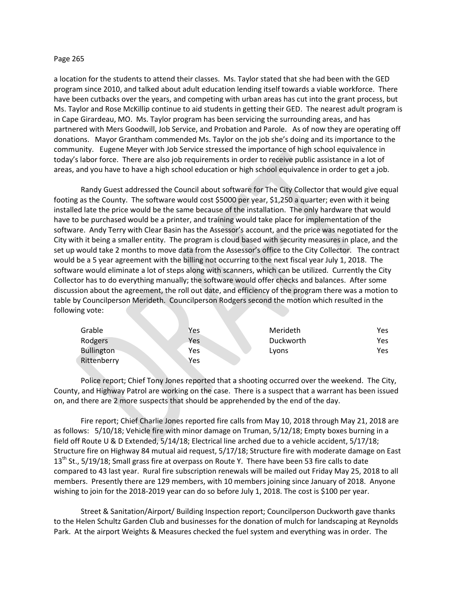## Page 265

a location for the students to attend their classes. Ms. Taylor stated that she had been with the GED program since 2010, and talked about adult education lending itself towards a viable workforce. There have been cutbacks over the years, and competing with urban areas has cut into the grant process, but Ms. Taylor and Rose McKillip continue to aid students in getting their GED. The nearest adult program is in Cape Girardeau, MO. Ms. Taylor program has been servicing the surrounding areas, and has partnered with Mers Goodwill, Job Service, and Probation and Parole. As of now they are operating off donations. Mayor Grantham commended Ms. Taylor on the job she's doing and its importance to the community. Eugene Meyer with Job Service stressed the importance of high school equivalence in today's labor force. There are also job requirements in order to receive public assistance in a lot of areas, and you have to have a high school education or high school equivalence in order to get a job.

Randy Guest addressed the Council about software for The City Collector that would give equal footing as the County. The software would cost \$5000 per year, \$1,250 a quarter; even with it being installed late the price would be the same because of the installation. The only hardware that would have to be purchased would be a printer, and training would take place for implementation of the software. Andy Terry with Clear Basin has the Assessor's account, and the price was negotiated for the City with it being a smaller entity. The program is cloud based with security measures in place, and the set up would take 2 months to move data from the Assessor's office to the City Collector. The contract would be a 5 year agreement with the billing not occurring to the next fiscal year July 1, 2018. The software would eliminate a lot of steps along with scanners, which can be utilized. Currently the City Collector has to do everything manually; the software would offer checks and balances. After some discussion about the agreement, the roll out date, and efficiency of the program there was a motion to table by Councilperson Merideth. Councilperson Rodgers second the motion which resulted in the following vote:

| Grable            | Yes | Merideth  | Yes |
|-------------------|-----|-----------|-----|
| Rodgers           | Yes | Duckworth | Yes |
| <b>Bullington</b> | Yes | Lyons     | Yes |
| Rittenberry       | Yes |           |     |

Police report; Chief Tony Jones reported that a shooting occurred over the weekend. The City, County, and Highway Patrol are working on the case. There is a suspect that a warrant has been issued on, and there are 2 more suspects that should be apprehended by the end of the day.

Fire report; Chief Charlie Jones reported fire calls from May 10, 2018 through May 21, 2018 are as follows: 5/10/18; Vehicle fire with minor damage on Truman, 5/12/18; Empty boxes burning in a field off Route U & D Extended, 5/14/18; Electrical line arched due to a vehicle accident, 5/17/18; Structure fire on Highway 84 mutual aid request, 5/17/18; Structure fire with moderate damage on East 13<sup>th</sup> St., 5/19/18; Small grass fire at overpass on Route Y. There have been 53 fire calls to date compared to 43 last year. Rural fire subscription renewals will be mailed out Friday May 25, 2018 to all members. Presently there are 129 members, with 10 members joining since January of 2018. Anyone wishing to join for the 2018-2019 year can do so before July 1, 2018. The cost is \$100 per year.

Street & Sanitation/Airport/ Building Inspection report; Councilperson Duckworth gave thanks to the Helen Schultz Garden Club and businesses for the donation of mulch for landscaping at Reynolds Park. At the airport Weights & Measures checked the fuel system and everything was in order. The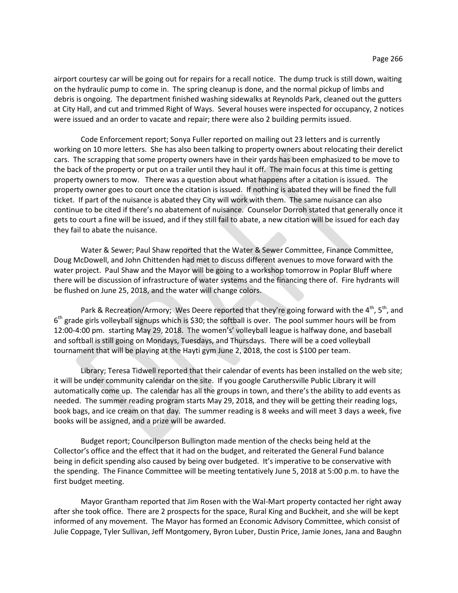airport courtesy car will be going out for repairs for a recall notice. The dump truck is still down, waiting on the hydraulic pump to come in. The spring cleanup is done, and the normal pickup of limbs and debris is ongoing. The department finished washing sidewalks at Reynolds Park, cleaned out the gutters at City Hall, and cut and trimmed Right of Ways. Several houses were inspected for occupancy, 2 notices were issued and an order to vacate and repair; there were also 2 building permits issued.

Code Enforcement report; Sonya Fuller reported on mailing out 23 letters and is currently working on 10 more letters. She has also been talking to property owners about relocating their derelict cars. The scrapping that some property owners have in their yards has been emphasized to be move to the back of the property or put on a trailer until they haul it off. The main focus at this time is getting property owners to mow. There was a question about what happens after a citation is issued. The property owner goes to court once the citation is issued. If nothing is abated they will be fined the full ticket. If part of the nuisance is abated they City will work with them. The same nuisance can also continue to be cited if there's no abatement of nuisance. Counselor Dorroh stated that generally once it gets to court a fine will be issued, and if they still fail to abate, a new citation will be issued for each day they fail to abate the nuisance.

Water & Sewer; Paul Shaw reported that the Water & Sewer Committee, Finance Committee, Doug McDowell, and John Chittenden had met to discuss different avenues to move forward with the water project. Paul Shaw and the Mayor will be going to a workshop tomorrow in Poplar Bluff where there will be discussion of infrastructure of water systems and the financing there of. Fire hydrants will be flushed on June 25, 2018, and the water will change colors.

Park & Recreation/Armory; Wes Deere reported that they're going forward with the  $4^{th}$ ,  $5^{th}$ , and 6<sup>th</sup> grade girls volleyball signups which is \$30; the softball is over. The pool summer hours will be from 12:00-4:00 pm. starting May 29, 2018. The women's' volleyball league is halfway done, and baseball and softball is still going on Mondays, Tuesdays, and Thursdays. There will be a coed volleyball tournament that will be playing at the Hayti gym June 2, 2018, the cost is \$100 per team.

Library; Teresa Tidwell reported that their calendar of events has been installed on the web site; it will be under community calendar on the site. If you google Caruthersville Public Library it will automatically come up. The calendar has all the groups in town, and there's the ability to add events as needed. The summer reading program starts May 29, 2018, and they will be getting their reading logs, book bags, and ice cream on that day. The summer reading is 8 weeks and will meet 3 days a week, five books will be assigned, and a prize will be awarded.

Budget report; Councilperson Bullington made mention of the checks being held at the Collector's office and the effect that it had on the budget, and reiterated the General Fund balance being in deficit spending also caused by being over budgeted. It's imperative to be conservative with the spending. The Finance Committee will be meeting tentatively June 5, 2018 at 5:00 p.m. to have the first budget meeting.

Mayor Grantham reported that Jim Rosen with the Wal-Mart property contacted her right away after she took office. There are 2 prospects for the space, Rural King and Buckheit, and she will be kept informed of any movement. The Mayor has formed an Economic Advisory Committee, which consist of Julie Coppage, Tyler Sullivan, Jeff Montgomery, Byron Luber, Dustin Price, Jamie Jones, Jana and Baughn